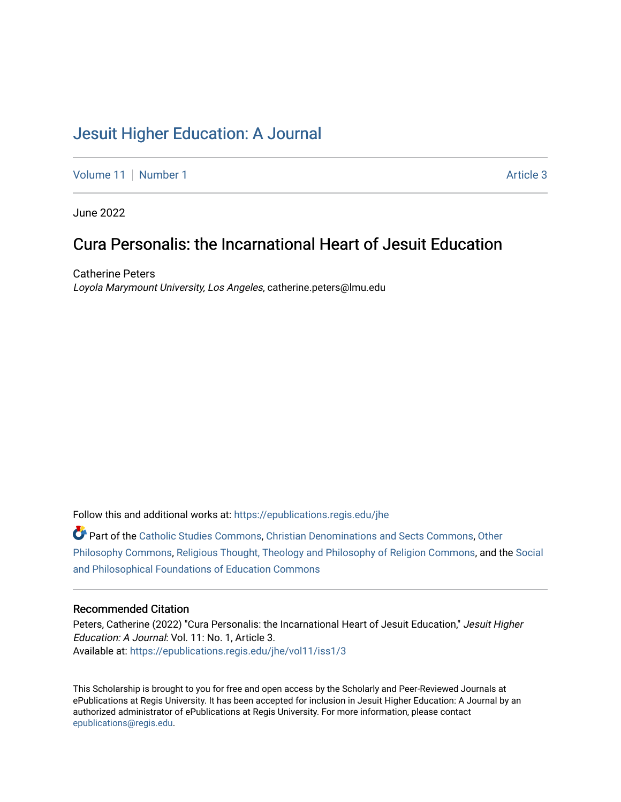# [Jesuit Higher Education: A Journal](https://epublications.regis.edu/jhe)

[Volume 11](https://epublications.regis.edu/jhe/vol11) | [Number 1](https://epublications.regis.edu/jhe/vol11/iss1) Article 3

June 2022

## Cura Personalis: the Incarnational Heart of Jesuit Education

Catherine Peters Loyola Marymount University, Los Angeles, catherine.peters@lmu.edu

Follow this and additional works at: [https://epublications.regis.edu/jhe](https://epublications.regis.edu/jhe?utm_source=epublications.regis.edu%2Fjhe%2Fvol11%2Fiss1%2F3&utm_medium=PDF&utm_campaign=PDFCoverPages) 

Part of the [Catholic Studies Commons](https://network.bepress.com/hgg/discipline/1294?utm_source=epublications.regis.edu%2Fjhe%2Fvol11%2Fiss1%2F3&utm_medium=PDF&utm_campaign=PDFCoverPages), [Christian Denominations and Sects Commons,](https://network.bepress.com/hgg/discipline/1184?utm_source=epublications.regis.edu%2Fjhe%2Fvol11%2Fiss1%2F3&utm_medium=PDF&utm_campaign=PDFCoverPages) [Other](https://network.bepress.com/hgg/discipline/537?utm_source=epublications.regis.edu%2Fjhe%2Fvol11%2Fiss1%2F3&utm_medium=PDF&utm_campaign=PDFCoverPages)  [Philosophy Commons,](https://network.bepress.com/hgg/discipline/537?utm_source=epublications.regis.edu%2Fjhe%2Fvol11%2Fiss1%2F3&utm_medium=PDF&utm_campaign=PDFCoverPages) [Religious Thought, Theology and Philosophy of Religion Commons,](https://network.bepress.com/hgg/discipline/544?utm_source=epublications.regis.edu%2Fjhe%2Fvol11%2Fiss1%2F3&utm_medium=PDF&utm_campaign=PDFCoverPages) and the [Social](https://network.bepress.com/hgg/discipline/799?utm_source=epublications.regis.edu%2Fjhe%2Fvol11%2Fiss1%2F3&utm_medium=PDF&utm_campaign=PDFCoverPages)  [and Philosophical Foundations of Education Commons](https://network.bepress.com/hgg/discipline/799?utm_source=epublications.regis.edu%2Fjhe%2Fvol11%2Fiss1%2F3&utm_medium=PDF&utm_campaign=PDFCoverPages) 

### Recommended Citation

Peters, Catherine (2022) "Cura Personalis: the Incarnational Heart of Jesuit Education," Jesuit Higher Education: A Journal: Vol. 11: No. 1, Article 3. Available at: [https://epublications.regis.edu/jhe/vol11/iss1/3](https://epublications.regis.edu/jhe/vol11/iss1/3?utm_source=epublications.regis.edu%2Fjhe%2Fvol11%2Fiss1%2F3&utm_medium=PDF&utm_campaign=PDFCoverPages)

This Scholarship is brought to you for free and open access by the Scholarly and Peer-Reviewed Journals at ePublications at Regis University. It has been accepted for inclusion in Jesuit Higher Education: A Journal by an authorized administrator of ePublications at Regis University. For more information, please contact [epublications@regis.edu.](mailto:epublications@regis.edu)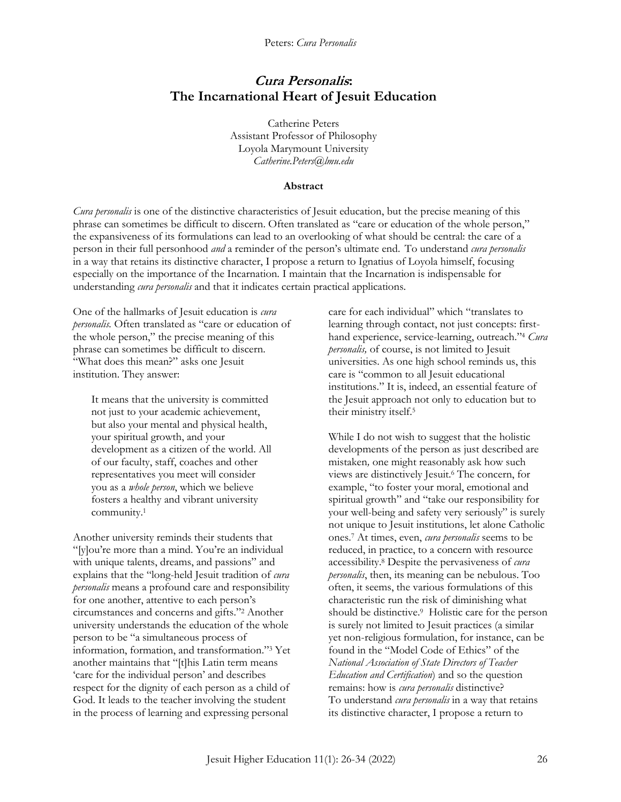Peters: *Cura Personalis*

## **Cura Personalis: The Incarnational Heart of Jesuit Education**

Catherine Peters Assistant Professor of Philosophy Loyola Marymount University *Catherine.Peters@lmu.edu*

#### **Abstract**

*Cura personalis* is one of the distinctive characteristics of Jesuit education, but the precise meaning of this phrase can sometimes be difficult to discern. Often translated as "care or education of the whole person," the expansiveness of its formulations can lead to an overlooking of what should be central: the care of a person in their full personhood *and* a reminder of the person's ultimate end. To understand *cura personalis*  in a way that retains its distinctive character, I propose a return to Ignatius of Loyola himself, focusing especially on the importance of the Incarnation*.* I maintain that the Incarnation is indispensable for understanding *cura personalis* and that it indicates certain practical applications*.* 

One of the hallmarks of Jesuit education is *cura personalis.* Often translated as "care or education of the whole person," the precise meaning of this phrase can sometimes be difficult to discern. "What does this mean?" asks one Jesuit institution. They answer:

It means that the university is committed not just to your academic achievement, but also your mental and physical health, your spiritual growth, and your development as a citizen of the world. All of our faculty, staff, coaches and other representatives you meet will consider you as a *whole person*, which we believe fosters a healthy and vibrant university community.<sup>1</sup>

Another university reminds their students that "[y]ou're more than a mind. You're an individual with unique talents, dreams, and passions" and explains that the "long-held Jesuit tradition of *cura personalis* means a profound care and responsibility for one another, attentive to each person's circumstances and concerns and gifts."<sup>2</sup> Another university understands the education of the whole person to be "a simultaneous process of information, formation, and transformation."<sup>3</sup> Yet another maintains that "[t]his Latin term means 'care for the individual person' and describes respect for the dignity of each person as a child of God. It leads to the teacher involving the student in the process of learning and expressing personal

care for each individual" which "translates to learning through contact, not just concepts: firsthand experience, service-learning, outreach."<sup>4</sup> *Cura personalis,* of course, is not limited to Jesuit universities. As one high school reminds us, this care is "common to all Jesuit educational institutions." It is, indeed, an essential feature of the Jesuit approach not only to education but to their ministry itself.<sup>5</sup>

While I do not wish to suggest that the holistic developments of the person as just described are mistaken*,* one might reasonably ask how such views are distinctively Jesuit.<sup>6</sup> The concern, for example, "to foster your moral, emotional and spiritual growth" and "take our responsibility for your well-being and safety very seriously" is surely not unique to Jesuit institutions, let alone Catholic ones.<sup>7</sup> At times, even, *cura personalis* seems to be reduced, in practice, to a concern with resource accessibility.<sup>8</sup> Despite the pervasiveness of *cura personalis*, then, its meaning can be nebulous. Too often, it seems, the various formulations of this characteristic run the risk of diminishing what should be distinctive.<sup>9</sup> Holistic care for the person is surely not limited to Jesuit practices (a similar yet non-religious formulation, for instance, can be found in the "Model Code of Ethics" of the *National Association of State Directors of Teacher Education and Certification*) and so the question remains: how is *cura personalis* distinctive? To understand *cura personalis* in a way that retains its distinctive character, I propose a return to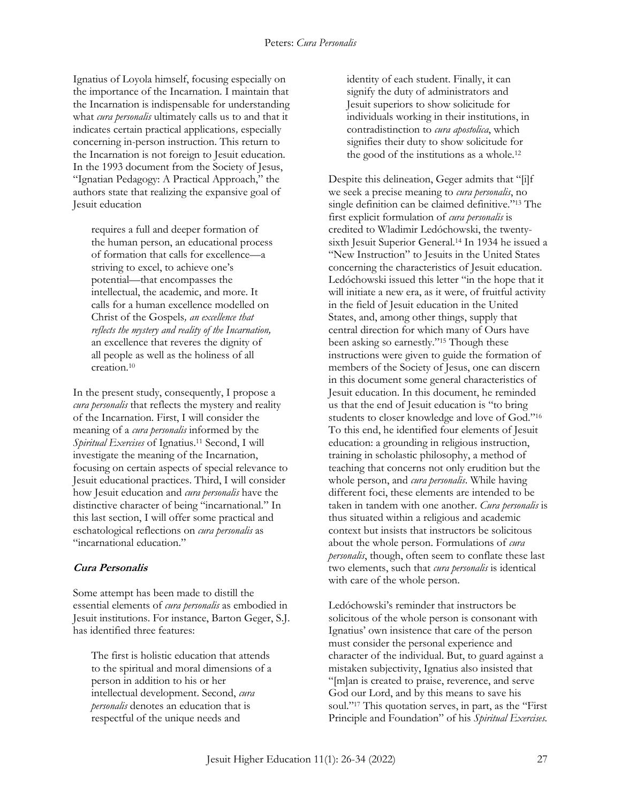Ignatius of Loyola himself, focusing especially on the importance of the Incarnation*.* I maintain that the Incarnation is indispensable for understanding what *cura personalis* ultimately calls us to and that it indicates certain practical applications*,* especially concerning in-person instruction. This return to the Incarnation is not foreign to Jesuit education. In the 1993 document from the Society of Jesus, "Ignatian Pedagogy: A Practical Approach," the authors state that realizing the expansive goal of Jesuit education

requires a full and deeper formation of the human person, an educational process of formation that calls for excellence—a striving to excel, to achieve one's potential—that encompasses the intellectual, the academic, and more. It calls for a human excellence modelled on Christ of the Gospels*, an excellence that reflects the mystery and reality of the Incarnation,* an excellence that reveres the dignity of all people as well as the holiness of all creation.<sup>10</sup>

In the present study, consequently, I propose a *cura personalis* that reflects the mystery and reality of the Incarnation. First, I will consider the meaning of a *cura personalis* informed by the *Spiritual Exercises* of Ignatius.<sup>11</sup> Second, I will investigate the meaning of the Incarnation, focusing on certain aspects of special relevance to Jesuit educational practices. Third, I will consider how Jesuit education and *cura personalis* have the distinctive character of being "incarnational." In this last section, I will offer some practical and eschatological reflections on *cura personalis* as "incarnational education."

## **Cura Personalis**

Some attempt has been made to distill the essential elements of *cura personalis* as embodied in Jesuit institutions. For instance, Barton Geger, S.J. has identified three features:

The first is holistic education that attends to the spiritual and moral dimensions of a person in addition to his or her intellectual development. Second, *cura personalis* denotes an education that is respectful of the unique needs and

identity of each student. Finally, it can signify the duty of administrators and Jesuit superiors to show solicitude for individuals working in their institutions, in contradistinction to *cura apostolica*, which signifies their duty to show solicitude for the good of the institutions as a whole.<sup>12</sup>

Despite this delineation, Geger admits that "[i]f we seek a precise meaning to *cura personalis*, no single definition can be claimed definitive."<sup>13</sup> The first explicit formulation of *cura personalis* is credited to Wladimir Ledóchowski, the twentysixth Jesuit Superior General.<sup>14</sup> In 1934 he issued a "New Instruction" to Jesuits in the United States concerning the characteristics of Jesuit education. Ledóchowski issued this letter "in the hope that it will initiate a new era, as it were, of fruitful activity in the field of Jesuit education in the United States, and, among other things, supply that central direction for which many of Ours have been asking so earnestly."<sup>15</sup> Though these instructions were given to guide the formation of members of the Society of Jesus, one can discern in this document some general characteristics of Jesuit education. In this document, he reminded us that the end of Jesuit education is "to bring students to closer knowledge and love of God."<sup>16</sup> To this end, he identified four elements of Jesuit education: a grounding in religious instruction, training in scholastic philosophy, a method of teaching that concerns not only erudition but the whole person, and *cura personalis*. While having different foci, these elements are intended to be taken in tandem with one another. *Cura personalis* is thus situated within a religious and academic context but insists that instructors be solicitous about the whole person. Formulations of *cura personalis*, though, often seem to conflate these last two elements, such that *cura personalis* is identical with care of the whole person.

Ledóchowski's reminder that instructors be solicitous of the whole person is consonant with Ignatius' own insistence that care of the person must consider the personal experience and character of the individual. But, to guard against a mistaken subjectivity, Ignatius also insisted that "[m]an is created to praise, reverence, and serve God our Lord, and by this means to save his soul."<sup>17</sup> This quotation serves, in part, as the "First Principle and Foundation" of his *Spiritual Exercises.*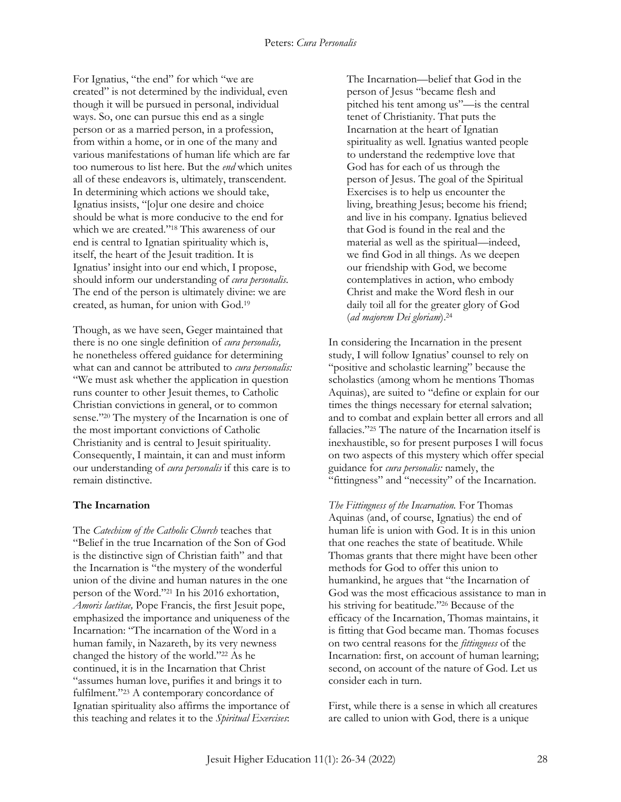For Ignatius, "the end" for which "we are created" is not determined by the individual, even though it will be pursued in personal, individual ways. So, one can pursue this end as a single person or as a married person, in a profession, from within a home, or in one of the many and various manifestations of human life which are far too numerous to list here. But the *end* which unites all of these endeavors is, ultimately, transcendent. In determining which actions we should take, Ignatius insists, "[o]ur one desire and choice should be what is more conducive to the end for which we are created."<sup>18</sup> This awareness of our end is central to Ignatian spirituality which is, itself, the heart of the Jesuit tradition. It is Ignatius' insight into our end which, I propose, should inform our understanding of *cura personalis*. The end of the person is ultimately divine: we are created, as human, for union with God.<sup>19</sup>

Though, as we have seen, Geger maintained that there is no one single definition of *cura personalis,* he nonetheless offered guidance for determining what can and cannot be attributed to *cura personalis:*  "We must ask whether the application in question runs counter to other Jesuit themes, to Catholic Christian convictions in general, or to common sense."<sup>20</sup> The mystery of the Incarnation is one of the most important convictions of Catholic Christianity and is central to Jesuit spirituality. Consequently, I maintain, it can and must inform our understanding of *cura personalis* if this care is to remain distinctive.

#### **The Incarnation**

The *Catechism of the Catholic Church* teaches that "Belief in the true Incarnation of the Son of God is the distinctive sign of Christian faith" and that the Incarnation is "the mystery of the wonderful union of the divine and human natures in the one person of the Word."<sup>21</sup> In his 2016 exhortation, *Amoris laetitae,* Pope Francis, the first Jesuit pope, emphasized the importance and uniqueness of the Incarnation: "The incarnation of the Word in a human family, in Nazareth, by its very newness changed the history of the world." <sup>22</sup> As he continued, it is in the Incarnation that Christ "assumes human love, purifies it and brings it to fulfilment." <sup>23</sup> A contemporary concordance of Ignatian spirituality also affirms the importance of this teaching and relates it to the *Spiritual Exercises*:

The Incarnation—belief that God in the person of Jesus "became flesh and pitched his tent among us"—is the central tenet of Christianity. That puts the Incarnation at the heart of Ignatian spirituality as well. Ignatius wanted people to understand the redemptive love that God has for each of us through the person of Jesus. The goal of the Spiritual Exercises is to help us encounter the living, breathing Jesus; become his friend; and live in his company. Ignatius believed that God is found in the real and the material as well as the spiritual—indeed, we find God in all things. As we deepen our friendship with God, we become contemplatives in action, who embody Christ and make the Word flesh in our daily toil all for the greater glory of God (*ad majorem Dei gloriam*).<sup>24</sup>

In considering the Incarnation in the present study, I will follow Ignatius' counsel to rely on "positive and scholastic learning" because the scholastics (among whom he mentions Thomas Aquinas), are suited to "define or explain for our times the things necessary for eternal salvation; and to combat and explain better all errors and all fallacies."<sup>25</sup> The nature of the Incarnation itself is inexhaustible, so for present purposes I will focus on two aspects of this mystery which offer special guidance for *cura personalis:* namely, the "fittingness" and "necessity" of the Incarnation.

*The Fittingness of the Incarnation.* For Thomas Aquinas (and, of course, Ignatius) the end of human life is union with God. It is in this union that one reaches the state of beatitude. While Thomas grants that there might have been other methods for God to offer this union to humankind, he argues that "the Incarnation of God was the most efficacious assistance to man in his striving for beatitude."<sup>26</sup> Because of the efficacy of the Incarnation, Thomas maintains, it is fitting that God became man. Thomas focuses on two central reasons for the *fittingness* of the Incarnation: first, on account of human learning; second, on account of the nature of God. Let us consider each in turn.

First, while there is a sense in which all creatures are called to union with God, there is a unique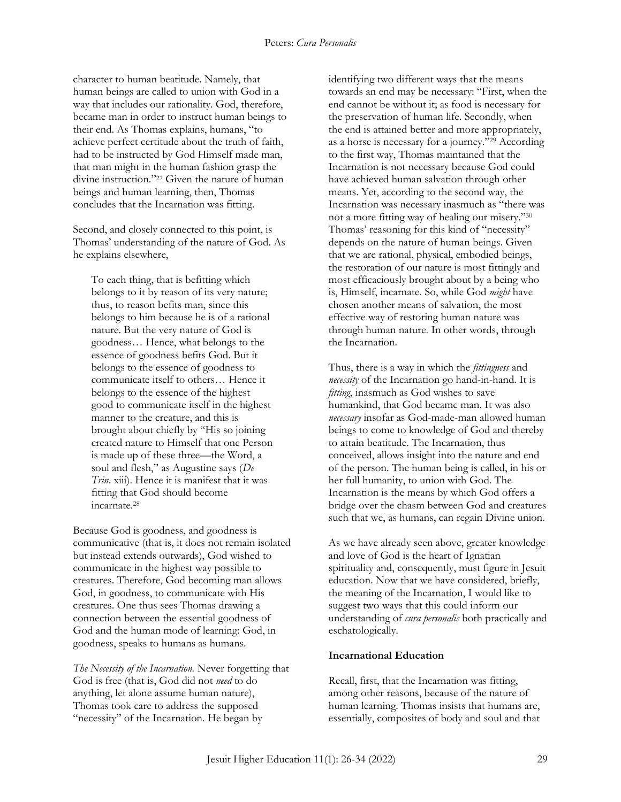character to human beatitude. Namely, that human beings are called to union with God in a way that includes our rationality. God, therefore, became man in order to instruct human beings to their end. As Thomas explains, humans, "to achieve perfect certitude about the truth of faith, had to be instructed by God Himself made man, that man might in the human fashion grasp the divine instruction."<sup>27</sup> Given the nature of human beings and human learning, then, Thomas concludes that the Incarnation was fitting.

Second, and closely connected to this point, is Thomas' understanding of the nature of God. As he explains elsewhere,

To each thing, that is befitting which belongs to it by reason of its very nature; thus, to reason befits man, since this belongs to him because he is of a rational nature. But the very nature of God is goodness… Hence, what belongs to the essence of goodness befits God. But it belongs to the essence of goodness to communicate itself to others… Hence it belongs to the essence of the highest good to communicate itself in the highest manner to the creature, and this is brought about chiefly by "His so joining created nature to Himself that one Person is made up of these three—the Word, a soul and flesh," as Augustine says (*De Trin*. xiii). Hence it is manifest that it was fitting that God should become incarnate.<sup>28</sup>

Because God is goodness, and goodness is communicative (that is, it does not remain isolated but instead extends outwards), God wished to communicate in the highest way possible to creatures. Therefore, God becoming man allows God, in goodness, to communicate with His creatures. One thus sees Thomas drawing a connection between the essential goodness of God and the human mode of learning: God, in goodness, speaks to humans as humans.

*The Necessity of the Incarnation.* Never forgetting that God is free (that is, God did not *need* to do anything, let alone assume human nature), Thomas took care to address the supposed "necessity" of the Incarnation. He began by

identifying two different ways that the means towards an end may be necessary: "First, when the end cannot be without it; as food is necessary for the preservation of human life. Secondly, when the end is attained better and more appropriately, as a horse is necessary for a journey."<sup>29</sup> According to the first way, Thomas maintained that the Incarnation is not necessary because God could have achieved human salvation through other means. Yet, according to the second way, the Incarnation was necessary inasmuch as "there was not a more fitting way of healing our misery."<sup>30</sup> Thomas' reasoning for this kind of "necessity" depends on the nature of human beings. Given that we are rational, physical, embodied beings, the restoration of our nature is most fittingly and most efficaciously brought about by a being who is, Himself, incarnate. So, while God *might* have chosen another means of salvation, the most effective way of restoring human nature was through human nature. In other words, through the Incarnation.

Thus, there is a way in which the *fittingness* and *necessity* of the Incarnation go hand-in-hand. It is *fitting*, inasmuch as God wishes to save humankind, that God became man. It was also *necessary* insofar as God-made-man allowed human beings to come to knowledge of God and thereby to attain beatitude. The Incarnation, thus conceived, allows insight into the nature and end of the person. The human being is called, in his or her full humanity, to union with God. The Incarnation is the means by which God offers a bridge over the chasm between God and creatures such that we, as humans, can regain Divine union.

As we have already seen above, greater knowledge and love of God is the heart of Ignatian spirituality and, consequently, must figure in Jesuit education. Now that we have considered, briefly, the meaning of the Incarnation, I would like to suggest two ways that this could inform our understanding of *cura personalis* both practically and eschatologically.

#### **Incarnational Education**

Recall, first, that the Incarnation was fitting, among other reasons, because of the nature of human learning. Thomas insists that humans are, essentially, composites of body and soul and that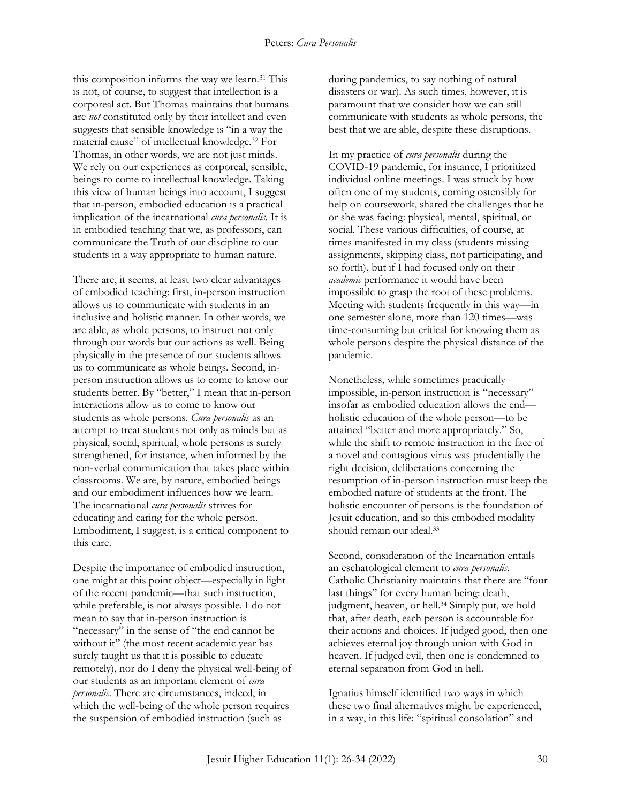this composition informs the way we learn.<sup>31</sup> This is not, of course, to suggest that intellection is a corporeal act. But Thomas maintains that humans are *not* constituted only by their intellect and even suggests that sensible knowledge is "in a way the material cause" of intellectual knowledge.<sup>32</sup> For Thomas, in other words, we are not just minds. We rely on our experiences as corporeal, sensible, beings to come to intellectual knowledge. Taking this view of human beings into account, I suggest that in-person, embodied education is a practical implication of the incarnational *cura personalis.* It is in embodied teaching that we, as professors, can communicate the Truth of our discipline to our students in a way appropriate to human nature.

There are, it seems, at least two clear advantages of embodied teaching: first, in-person instruction allows us to communicate with students in an inclusive and holistic manner. In other words, we are able, as whole persons, to instruct not only through our words but our actions as well. Being physically in the presence of our students allows us to communicate as whole beings. Second, inperson instruction allows us to come to know our students better. By "better," I mean that in-person interactions allow us to come to know our students as whole persons. *Cura personalis* as an attempt to treat students not only as minds but as physical, social, spiritual, whole persons is surely strengthened, for instance, when informed by the non-verbal communication that takes place within classrooms. We are, by nature, embodied beings and our embodiment influences how we learn. The incarnational *cura personalis* strives for educating and caring for the whole person. Embodiment, I suggest, is a critical component to this care.

Despite the importance of embodied instruction, one might at this point object—especially in light of the recent pandemic—that such instruction, while preferable, is not always possible. I do not mean to say that in-person instruction is "necessary" in the sense of "the end cannot be without it" (the most recent academic year has surely taught us that it is possible to educate remotely), nor do I deny the physical well-being of our students as an important element of *cura personalis*. There are circumstances, indeed, in which the well-being of the whole person requires the suspension of embodied instruction (such as

during pandemics, to say nothing of natural disasters or war). As such times, however, it is paramount that we consider how we can still communicate with students as whole persons, the best that we are able, despite these disruptions.

In my practice of *cura personalis* during the COVID-19 pandemic, for instance, I prioritized individual online meetings. I was struck by how often one of my students, coming ostensibly for help on coursework, shared the challenges that he or she was facing: physical, mental, spiritual, or social. These various difficulties, of course, at times manifested in my class (students missing assignments, skipping class, not participating, and so forth), but if I had focused only on their *academic* performance it would have been impossible to grasp the root of these problems. Meeting with students frequently in this way—in one semester alone, more than 120 times—was time-consuming but critical for knowing them as whole persons despite the physical distance of the pandemic.

Nonetheless, while sometimes practically impossible, in-person instruction is "necessary" insofar as embodied education allows the end holistic education of the whole person—to be attained "better and more appropriately." So, while the shift to remote instruction in the face of a novel and contagious virus was prudentially the right decision, deliberations concerning the resumption of in-person instruction must keep the embodied nature of students at the front. The holistic encounter of persons is the foundation of Jesuit education, and so this embodied modality should remain our ideal.<sup>33</sup>

Second, consideration of the Incarnation entails an eschatological element to *cura personalis*. Catholic Christianity maintains that there are "four last things" for every human being: death, judgment, heaven, or hell.<sup>34</sup> Simply put, we hold that, after death, each person is accountable for their actions and choices. If judged good, then one achieves eternal joy through union with God in heaven. If judged evil, then one is condemned to eternal separation from God in hell.

Ignatius himself identified two ways in which these two final alternatives might be experienced, in a way, in this life: "spiritual consolation" and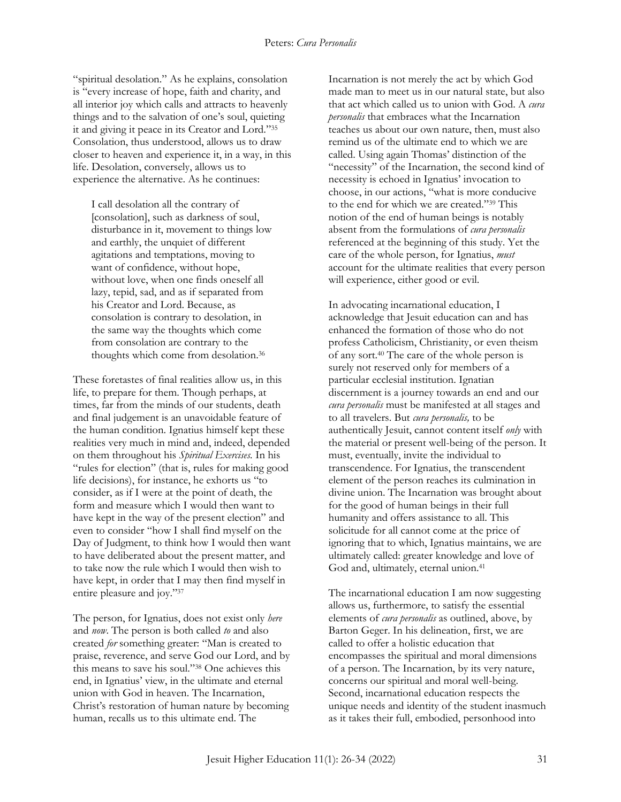"spiritual desolation." As he explains, consolation is "every increase of hope, faith and charity, and all interior joy which calls and attracts to heavenly things and to the salvation of one's soul, quieting it and giving it peace in its Creator and Lord."<sup>35</sup> Consolation, thus understood, allows us to draw closer to heaven and experience it, in a way, in this life. Desolation, conversely, allows us to experience the alternative. As he continues:

I call desolation all the contrary of [consolation], such as darkness of soul, disturbance in it, movement to things low and earthly, the unquiet of different agitations and temptations, moving to want of confidence, without hope, without love, when one finds oneself all lazy, tepid, sad, and as if separated from his Creator and Lord. Because, as consolation is contrary to desolation, in the same way the thoughts which come from consolation are contrary to the thoughts which come from desolation.<sup>36</sup>

These foretastes of final realities allow us, in this life, to prepare for them. Though perhaps, at times, far from the minds of our students, death and final judgement is an unavoidable feature of the human condition. Ignatius himself kept these realities very much in mind and, indeed, depended on them throughout his *Spiritual Exercises.* In his "rules for election" (that is, rules for making good life decisions), for instance, he exhorts us "to consider, as if I were at the point of death, the form and measure which I would then want to have kept in the way of the present election" and even to consider "how I shall find myself on the Day of Judgment, to think how I would then want to have deliberated about the present matter, and to take now the rule which I would then wish to have kept, in order that I may then find myself in entire pleasure and joy."<sup>37</sup>

The person, for Ignatius, does not exist only *here* and *now*. The person is both called *to* and also created *for* something greater: "Man is created to praise, reverence, and serve God our Lord, and by this means to save his soul."<sup>38</sup> One achieves this end, in Ignatius' view, in the ultimate and eternal union with God in heaven. The Incarnation, Christ's restoration of human nature by becoming human, recalls us to this ultimate end. The

Incarnation is not merely the act by which God made man to meet us in our natural state, but also that act which called us to union with God. A *cura personalis* that embraces what the Incarnation teaches us about our own nature, then, must also remind us of the ultimate end to which we are called. Using again Thomas' distinction of the "necessity" of the Incarnation, the second kind of necessity is echoed in Ignatius' invocation to choose, in our actions, "what is more conducive to the end for which we are created."<sup>39</sup> This notion of the end of human beings is notably absent from the formulations of *cura personalis*  referenced at the beginning of this study. Yet the care of the whole person, for Ignatius, *must*  account for the ultimate realities that every person will experience, either good or evil.

In advocating incarnational education, I acknowledge that Jesuit education can and has enhanced the formation of those who do not profess Catholicism, Christianity, or even theism of any sort.<sup>40</sup> The care of the whole person is surely not reserved only for members of a particular ecclesial institution. Ignatian discernment is a journey towards an end and our *cura personalis* must be manifested at all stages and to all travelers. But *cura personalis,* to be authentically Jesuit, cannot content itself *only* with the material or present well-being of the person. It must, eventually, invite the individual to transcendence. For Ignatius, the transcendent element of the person reaches its culmination in divine union. The Incarnation was brought about for the good of human beings in their full humanity and offers assistance to all. This solicitude for all cannot come at the price of ignoring that to which, Ignatius maintains, we are ultimately called: greater knowledge and love of God and, ultimately, eternal union.<sup>41</sup>

The incarnational education I am now suggesting allows us, furthermore, to satisfy the essential elements of *cura personalis* as outlined, above, by Barton Geger. In his delineation, first, we are called to offer a holistic education that encompasses the spiritual and moral dimensions of a person. The Incarnation, by its very nature, concerns our spiritual and moral well-being. Second, incarnational education respects the unique needs and identity of the student inasmuch as it takes their full, embodied, personhood into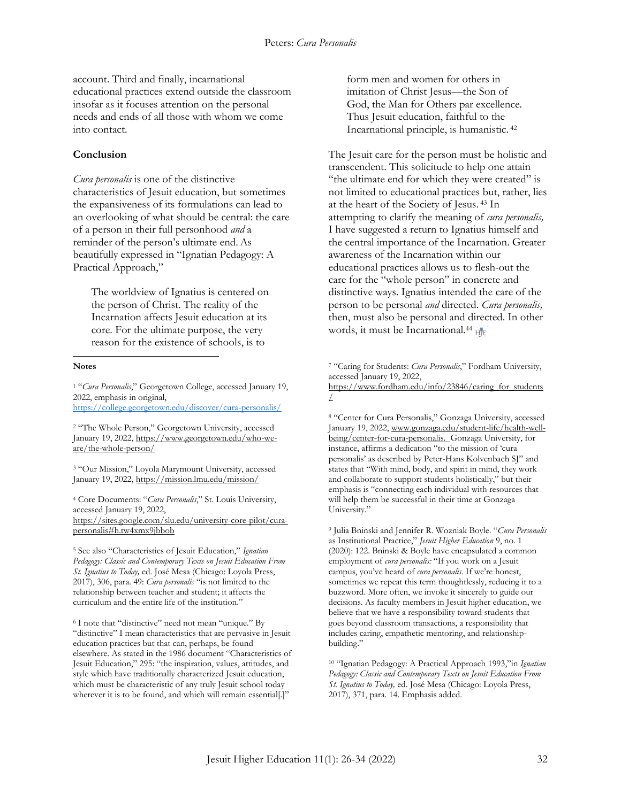account. Third and finally, incarnational educational practices extend outside the classroom insofar as it focuses attention on the personal needs and ends of all those with whom we come into contact.

#### **Conclusion**

*Cura personalis* is one of the distinctive characteristics of Jesuit education, but sometimes the expansiveness of its formulations can lead to an overlooking of what should be central: the care of a person in their full personhood *and* a reminder of the person's ultimate end.As beautifully expressed in "Ignatian Pedagogy: A Practical Approach,"

The worldview of Ignatius is centered on the person of Christ. The reality of the Incarnation affects Jesuit education at its core. For the ultimate purpose, the very reason for the existence of schools, is to

#### **Notes**  $\overline{a}$

<sup>1</sup> "*Cura Personalis*," Georgetown College, accessed January 19, 2022, emphasis in original, <https://college.georgetown.edu/discover/cura-personalis/>

<sup>2</sup> "The Whole Person," Georgetown University, accessed January 19, 2022, [https://www.georgetown.edu/who-we](https://www.georgetown.edu/who-we-are/the-whole-person/)[are/the-whole-person/](https://www.georgetown.edu/who-we-are/the-whole-person/)

<sup>3</sup> "Our Mission," Loyola Marymount University, accessed January 19, 2022,<https://mission.lmu.edu/mission/>

<sup>4</sup> Core Documents: "*Cura Personalis*," St. Louis University, accessed January 19, 2022, [https://sites.google.com/slu.edu/university-core-pilot/cura-](https://sites.google.com/slu.edu/university-core-pilot/cura-personalis#h.tw4xmx9jbbob)

[personalis#h.tw4xmx9jbbob](https://sites.google.com/slu.edu/university-core-pilot/cura-personalis#h.tw4xmx9jbbob)

<sup>5</sup> See also "Characteristics of Jesuit Education," *Ignatian Pedagogy: Classic and Contemporary Texts on Jesuit Education From St. Ignatius to Today,* ed. José Mesa (Chicago: Loyola Press, 2017), 306, para. 49: *Cura personalis* "is not limited to the relationship between teacher and student; it affects the curriculum and the entire life of the institution."

<sup>6</sup> I note that "distinctive" need not mean "unique." By "distinctive" I mean characteristics that are pervasive in Jesuit education practices but that can, perhaps, be found elsewhere. As stated in the 1986 document "Characteristics of Jesuit Education," 295: "the inspiration, values, attitudes, and style which have traditionally characterized Jesuit education, which must be characteristic of any truly Jesuit school today wherever it is to be found, and which will remain essential[.]"

form men and women for others in imitation of Christ Jesus—the Son of God, the Man for Others par excellence. Thus Jesuit education, faithful to the Incarnational principle, is humanistic. <sup>42</sup>

The Jesuit care for the person must be holistic and transcendent. This solicitude to help one attain "the ultimate end for which they were created" is not limited to educational practices but, rather, lies at the heart of the Society of Jesus. <sup>43</sup> In attempting to clarify the meaning of *cura personalis,*  I have suggested a return to Ignatius himself and the central importance of the Incarnation. Greater awareness of the Incarnation within our educational practices allows us to flesh-out the care for the "whole person" in concrete and distinctive ways. Ignatius intended the care of the person to be personal *and* directed. *Cura personalis,*  then, must also be personal and directed. In other words, it must be Incarnational.<sup>44</sup> HE

<sup>7</sup> "Caring for Students: *Cura Personalis*," Fordham University, accessed January 19, 2022,

[https://www.fordham.edu/info/23846/caring\\_for\\_students](https://www.fordham.edu/info/23846/caring_for_students/) [/](https://www.fordham.edu/info/23846/caring_for_students/)

<sup>8</sup> "Center for Cura Personalis," Gonzaga University, accessed January 19, 2022, [www.gonzaga.edu/student-life/health-well](http://www.gonzaga.edu/student-life/health-well-being/center-for-cura-personalis)[being/center-for-cura-personalis.](http://www.gonzaga.edu/student-life/health-well-being/center-for-cura-personalis) Gonzaga University, for instance, affirms a dedication "to the mission of 'cura personalis' as described by Peter-Hans Kolvenbach SJ" and states that "With mind, body, and spirit in mind, they work and collaborate to support students holistically," but their emphasis is "connecting each individual with resources that will help them be successful in their time at Gonzaga University."

<sup>9</sup> Julia Bninski and Jennifer R. Wozniak Boyle. "*Cura Personalis* as Institutional Practice," *Jesuit Higher Education* 9, no. 1 (2020): 122. Bninski & Boyle have encapsulated a common employment of *cura personalis:* "If you work on a Jesuit campus, you've heard of *cura personalis.* If we're honest, sometimes we repeat this term thoughtlessly, reducing it to a buzzword. More often, we invoke it sincerely to guide our decisions. As faculty members in Jesuit higher education, we believe that we have a responsibility toward students that goes beyond classroom transactions, a responsibility that includes caring, empathetic mentoring, and relationshipbuilding."

<sup>10</sup> "Ignatian Pedagogy: A Practical Approach 1993,"in *Ignatian Pedagogy: Classic and Contemporary Texts on Jesuit Education From St. Ignatius to Today,* ed. José Mesa (Chicago: Loyola Press, 2017), 371, para. 14. Emphasis added.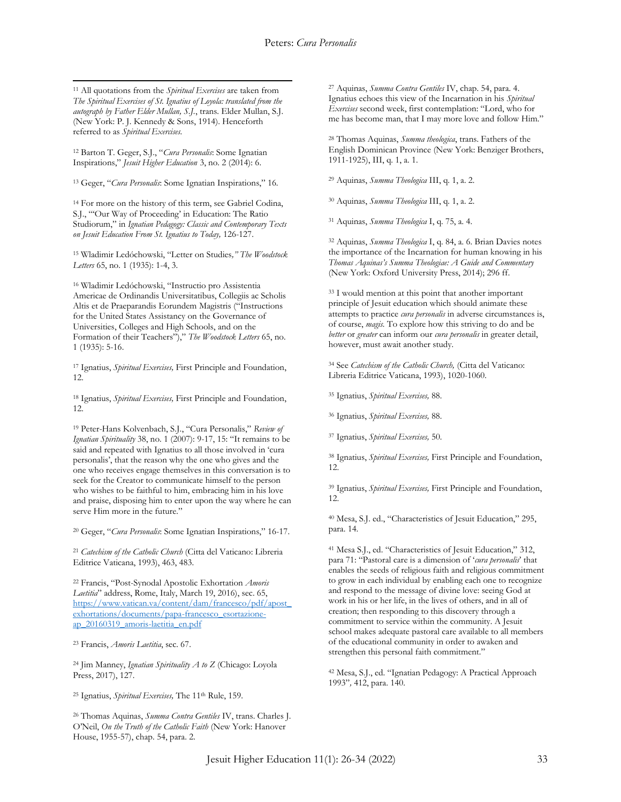$\overline{a}$ <sup>11</sup> All quotations from the *Spiritual Exercises* are taken from *The Spiritual Exercises of St. Ignatius of Loyola: translated from the autograph by Father Elder Mullan, S.J.*, trans. Elder Mullan, S.J. (New York: P. J. Kennedy & Sons, 1914). Henceforth referred to as *Spiritual Exercises.* 

<sup>12</sup> Barton T. Geger, S.J., "*Cura Personalis*: Some Ignatian Inspirations," *Jesuit Higher Education* 3, no. 2 (2014): 6.

<sup>13</sup> Geger, "*Cura Personalis*: Some Ignatian Inspirations," 16.

<sup>14</sup> For more on the history of this term, see Gabriel Codina, S.J., "'Our Way of Proceeding' in Education: The Ratio Studiorum," in *Ignatian Pedagogy: Classic and Contemporary Texts on Jesuit Education From St. Ignatius to Today,* 126-127.

<sup>15</sup> Wladimir Ledóchowski, "Letter on Studies*," The Woodstock Letters* 65, no. 1 (1935): 1-4, 3.

<sup>16</sup> Wladimir Ledóchowski, "Instructio pro Assistentia Americae de Ordinandis Universitatibus, Collegiis ac Scholis Altis et de Praeparandis Eorundem Magistris ("Instructions for the United States Assistancy on the Governance of Universities, Colleges and High Schools, and on the Formation of their Teachers")," *The Woodstock Letters* 65, no. 1 (1935): 5-16.

<sup>17</sup> Ignatius, *Spiritual Exercises,* First Principle and Foundation, 12.

<sup>18</sup> Ignatius, *Spiritual Exercises,* First Principle and Foundation, 12.

<sup>19</sup> Peter-Hans Kolvenbach, S.J., "Cura Personalis," *Review of Ignatian Spirituality* 38, no. 1 (2007): 9-17, 15: "It remains to be said and repeated with Ignatius to all those involved in 'cura personalis', that the reason why the one who gives and the one who receives engage themselves in this conversation is to seek for the Creator to communicate himself to the person who wishes to be faithful to him, embracing him in his love and praise, disposing him to enter upon the way where he can serve Him more in the future."

<sup>20</sup> Geger, "*Cura Personalis*: Some Ignatian Inspirations," 16-17.

<sup>21</sup> *Catechism of the Catholic Church* (Citta del Vaticano: Libreria Editrice Vaticana, 1993), 463, 483.

<sup>22</sup> Francis, "Post-Synodal Apostolic Exhortation *Amoris Laetitia*" address, Rome, Italy, March 19, 2016), sec. 65, [https://www.vatican.va/content/dam/francesco/pdf/apost\\_](https://www.vatican.va/content/dam/francesco/pdf/apost_exhortations/documents/papa-francesco_esortazione-ap_20160319_amoris-laetitia_en.pdf) [exhortations/documents/papa-francesco\\_esortazione](https://www.vatican.va/content/dam/francesco/pdf/apost_exhortations/documents/papa-francesco_esortazione-ap_20160319_amoris-laetitia_en.pdf)[ap\\_20160319\\_amoris-laetitia\\_en.pdf](https://www.vatican.va/content/dam/francesco/pdf/apost_exhortations/documents/papa-francesco_esortazione-ap_20160319_amoris-laetitia_en.pdf)

<sup>23</sup> Francis, *Amoris Laetitia*, sec. 67.

<sup>24</sup> Jim Manney, *Ignatian Spirituality A to Z* (Chicago: Loyola Press, 2017), 127.

<sup>25</sup> Ignatius, *Spiritual Exercises,* The 11th Rule, 159.

<sup>26</sup> Thomas Aquinas, *Summa Contra Gentiles* IV, trans. Charles J. O'Neil, *On the Truth of the Catholic Faith* (New York: Hanover House, 1955-57), chap. 54, para. 2.

<sup>27</sup> Aquinas, *Summa Contra Gentiles* IV, chap. 54, para. 4. Ignatius echoes this view of the Incarnation in his *Spiritual Exercises* second week, first contemplation: "Lord, who for me has become man, that I may more love and follow Him."

<sup>28</sup> Thomas Aquinas, *Summa theologica*, trans. Fathers of the English Dominican Province (New York: Benziger Brothers, 1911-1925), III, q. 1, a. 1.

<sup>29</sup> Aquinas, *Summa Theologica* III, q. 1, a. 2.

<sup>30</sup> Aquinas, *Summa Theologica* III, q. 1, a. 2.

<sup>31</sup> Aquinas, *Summa Theologica* I, q. 75, a. 4.

<sup>32</sup> Aquinas, *Summa Theologica* I, q. 84, a. 6. Brian Davies notes the importance of the Incarnation for human knowing in his *Thomas Aquinas's Summa Theologiae: A Guide and Commentary* (New York: Oxford University Press, 2014); 296 ff.

<sup>33</sup> I would mention at this point that another important principle of Jesuit education which should animate these attempts to practice *cura personalis* in adverse circumstances is, of course, *magis.* To explore how this striving to do and be *better* or *greater* can inform our *cura personalis* in greater detail, however, must await another study.

<sup>34</sup> See *Catechism of the Catholic Church,* (Citta del Vaticano: Libreria Editrice Vaticana, 1993), 1020-1060.

<sup>35</sup> Ignatius, *Spiritual Exercises,* 88.

<sup>36</sup> Ignatius, *Spiritual Exercises,* 88.

<sup>37</sup> Ignatius, *Spiritual Exercises,* 50.

<sup>38</sup> Ignatius, *Spiritual Exercises,* First Principle and Foundation, 12.

<sup>39</sup> Ignatius, *Spiritual Exercises,* First Principle and Foundation, 12.

<sup>40</sup> Mesa, S.J. ed., "Characteristics of Jesuit Education," 295, para. 14.

<sup>41</sup> Mesa S.J., ed. "Characteristics of Jesuit Education," 312, para 71: "Pastoral care is a dimension of '*cura personalis*' that enables the seeds of religious faith and religious commitment to grow in each individual by enabling each one to recognize and respond to the message of divine love: seeing God at work in his or her life, in the lives of others, and in all of creation; then responding to this discovery through a commitment to service within the community. A Jesuit school makes adequate pastoral care available to all members of the educational community in order to awaken and strengthen this personal faith commitment."

<sup>42</sup> Mesa, S.J., ed. "Ignatian Pedagogy: A Practical Approach 1993"*,* 412, para. 140.